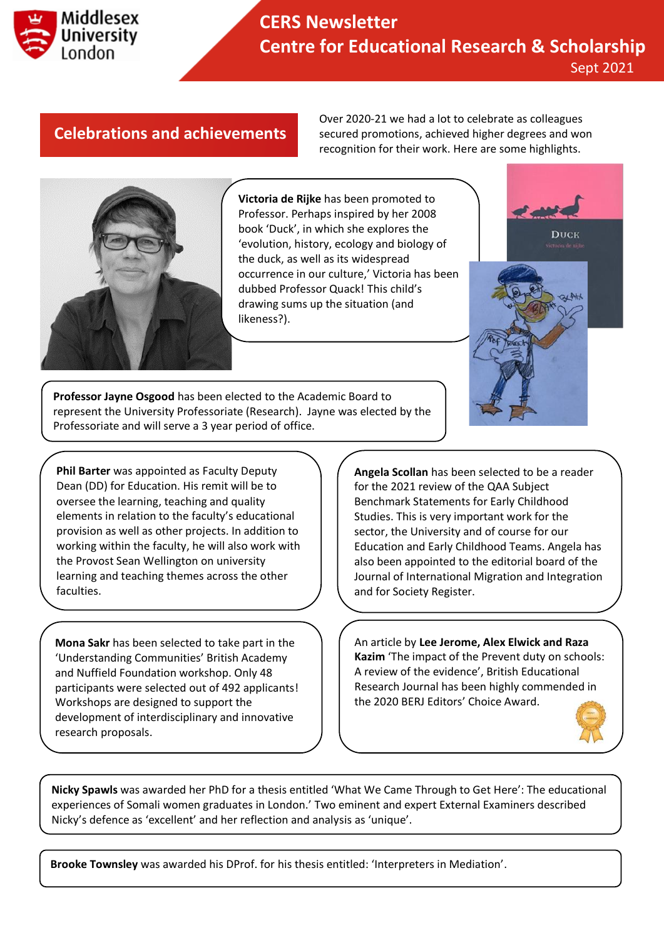

# **CERS Newsletter Centre for Educational Research & Scholarship** Sept 2021

#### **Celebrations and achievements**

Over 2020-21 we had a lot to celebrate as colleagues secured promotions, achieved higher degrees and won recognition for their work. Here are some highlights.



**Victoria de Rijke** has been promoted to Professor. Perhaps inspired by her 2008 book 'Duck', in which she explores the 'evolution, history, ecology and biology of the duck, as well as its widespread occurrence in our culture,' Victoria has been dubbed Professor Quack! This child's drawing sums up the situation (and likeness?).

**Professor Jayne Osgood** has been elected to the Academic Board to represent the University Professoriate (Research). Jayne was elected by the Professoriate and will serve a 3 year period of office.

l

**Phil Barter** was appointed as Faculty Deputy Dean (DD) for Education. His remit will be to oversee the learning, teaching and quality elements in relation to the faculty's educational provision as well as other projects. In addition to working within the faculty, he will also work with the Provost Sean Wellington on university learning and teaching themes across the other faculties.

**Mona Sakr** has been selected to take part in the 'Understanding Communities' British Academy and Nuffield Foundation workshop. Only 48 participants were selected out of 492 applicants! Workshops are designed to support the development of interdisciplinary and innovative research proposals.

**Angela Scollan** has been selected to be a reader for the 2021 review of the QAA Subject Benchmark Statements for Early Childhood Studies. This is very important work for the sector, the University and of course for our Education and Early Childhood Teams. Angela has also been appointed to the editorial board of the Journal of International Migration and Integration and for Society Register.

An article by **Lee Jerome, Alex Elwick and Raza Kazim** 'The impact of the Prevent duty on schools: A review of the evidence', British Educational Research Journal has been highly commended in the 2020 BERJ Editors' Choice Award.



**DUCK** 

**Nicky Spawls** was awarded her PhD for a thesis entitled 'What We Came Through to Get Here': The educational experiences of Somali women graduates in London.' Two eminent and expert External Examiners described Nicky's defence as 'excellent' and her reflection and analysis as 'unique'.

**Brooke Townsley** was awarded his DProf. for his thesis entitled: 'Interpreters in Mediation'.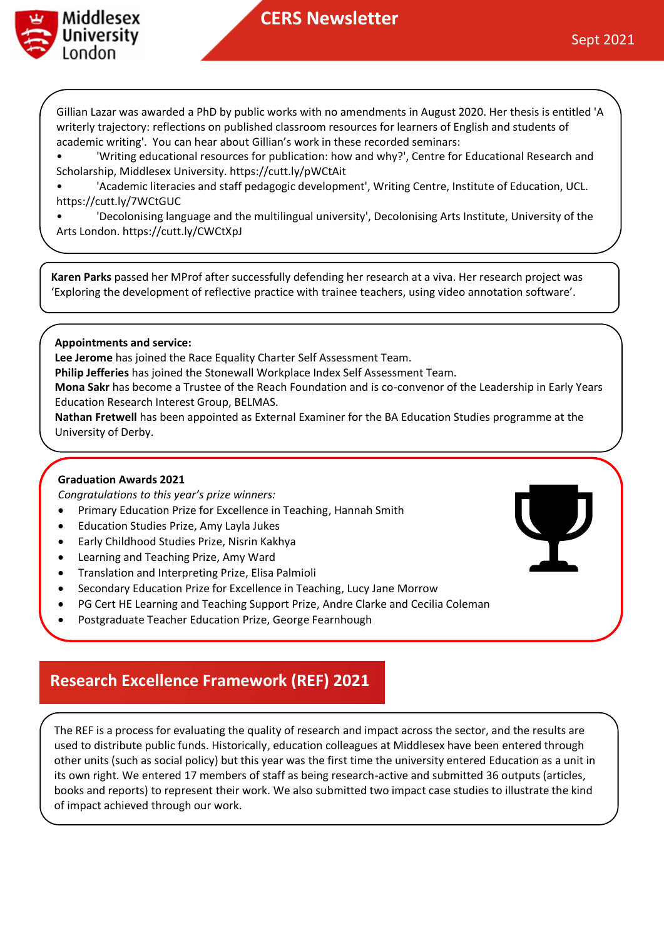

Gillian Lazar was awarded a PhD by public works with no amendments in August 2020. Her thesis is entitled 'A writerly trajectory: reflections on published classroom resources for learners of English and students of academic writing'. You can hear about Gillian's work in these recorded seminars:

'Writing educational resources for publication: how and why?', Centre for Educational Research and Scholarship, Middlesex University. https://cutt.ly/pWCtAit

• 'Academic literacies and staff pedagogic development', Writing Centre, Institute of Education, UCL. https://cutt.ly/7WCtGUC

• 'Decolonising language and the multilingual university', Decolonising Arts Institute, University of the Arts London. https://cutt.ly/CWCtXpJ

**Karen Parks** passed her MProf after successfully defending her research at a viva. Her research project was 'Exploring the development of reflective practice with trainee teachers, using video annotation software'.

#### **Appointments and service:**

**Lee Jerome** has joined the Race Equality Charter Self Assessment Team.

**Philip Jefferies** has joined the Stonewall Workplace Index Self Assessment Team.

**Mona Sakr** has become a Trustee of the Reach Foundation and is co-convenor of the Leadership in Early Years Education Research Interest Group, BELMAS.

**Nathan Fretwell** has been appointed as External Examiner for the BA Education Studies programme at the University of Derby.

#### **Graduation Awards 2021**

*Congratulations to this year's prize winners:*

- Primary Education Prize for Excellence in Teaching, Hannah Smith
- Education Studies Prize, Amy Layla Jukes
- Early Childhood Studies Prize, Nisrin Kakhya
- Learning and Teaching Prize, Amy Ward
- Translation and Interpreting Prize, Elisa Palmioli
- Secondary Education Prize for Excellence in Teaching, Lucy Jane Morrow
- PG Cert HE Learning and Teaching Support Prize, Andre Clarke and Cecilia Coleman
- Postgraduate Teacher Education Prize, George Fearnhough

## **Research Excellence Framework (REF) 2021**

The REF is a process for evaluating the quality of research and impact across the sector, and the results are used to distribute public funds. Historically, education colleagues at Middlesex have been entered through other units (such as social policy) but this year was the first time the university entered Education as a unit in its own right. We entered 17 members of staff as being research-active and submitted 36 outputs (articles, books and reports) to represent their work. We also submitted two impact case studies to illustrate the kind of impact achieved through our work.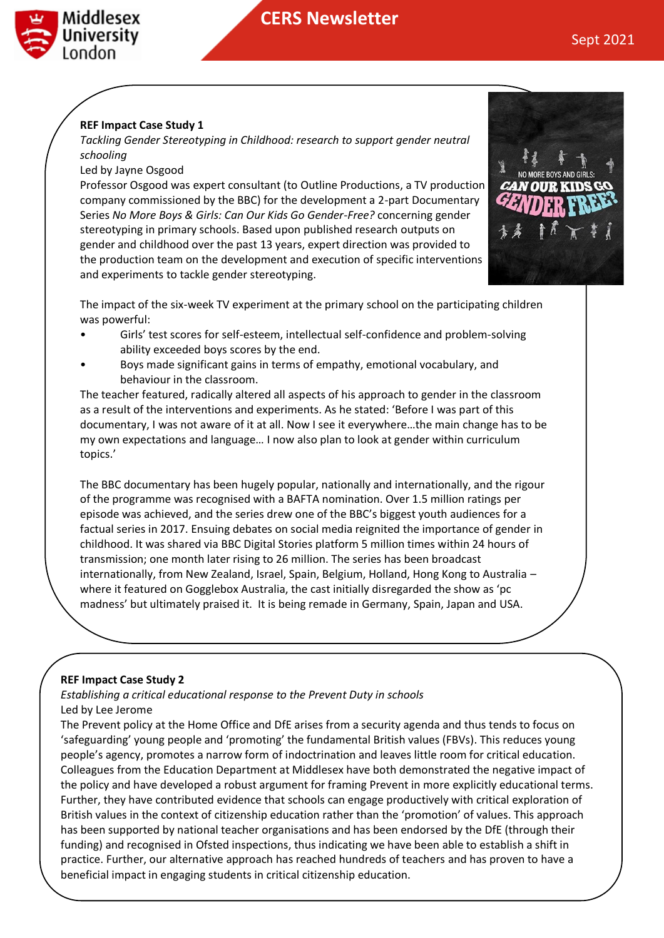

#### **REF Impact Case Study 1**

*Tackling Gender Stereotyping in Childhood: research to support gender neutral schooling*

#### Led by Jayne Osgood

Professor Osgood was expert consultant (to Outline Productions, a TV production company commissioned by the BBC) for the development a 2-part Documentary Series *No More Boys & Girls: Can Our Kids Go Gender-Free?* concerning gender stereotyping in primary schools. Based upon published research outputs on gender and childhood over the past 13 years, expert direction was provided to the production team on the development and execution of specific interventions and experiments to tackle gender stereotyping.



The impact of the six-week TV experiment at the primary school on the participating children was powerful:

- Girls' test scores for self-esteem, intellectual self-confidence and problem-solving ability exceeded boys scores by the end.
- Boys made significant gains in terms of empathy, emotional vocabulary, and behaviour in the classroom.

The teacher featured, radically altered all aspects of his approach to gender in the classroom as a result of the interventions and experiments. As he stated: 'Before I was part of this documentary, I was not aware of it at all. Now I see it everywhere…the main change has to be my own expectations and language… I now also plan to look at gender within curriculum topics.'

The BBC documentary has been hugely popular, nationally and internationally, and the rigour of the programme was recognised with a BAFTA nomination. Over 1.5 million ratings per episode was achieved, and the series drew one of the BBC's biggest youth audiences for a factual series in 2017. Ensuing debates on social media reignited the importance of gender in childhood. It was shared via BBC Digital Stories platform 5 million times within 24 hours of transmission; one month later rising to 26 million. The series has been broadcast internationally, from New Zealand, Israel, Spain, Belgium, Holland, Hong Kong to Australia – where it featured on Gogglebox Australia, the cast initially disregarded the show as 'pc madness' but ultimately praised it. It is being remade in Germany, Spain, Japan and USA.

#### **REF Impact Case Study 2**

*Establishing a critical educational response to the Prevent Duty in schools* Led by Lee Jerome

The Prevent policy at the Home Office and DfE arises from a security agenda and thus tends to focus on 'safeguarding' young people and 'promoting' the fundamental British values (FBVs). This reduces young people's agency, promotes a narrow form of indoctrination and leaves little room for critical education. Colleagues from the Education Department at Middlesex have both demonstrated the negative impact of the policy and have developed a robust argument for framing Prevent in more explicitly educational terms. Further, they have contributed evidence that schools can engage productively with critical exploration of British values in the context of citizenship education rather than the 'promotion' of values. This approach has been supported by national teacher organisations and has been endorsed by the DfE (through their funding) and recognised in Ofsted inspections, thus indicating we have been able to establish a shift in practice. Further, our alternative approach has reached hundreds of teachers and has proven to have a beneficial impact in engaging students in critical citizenship education.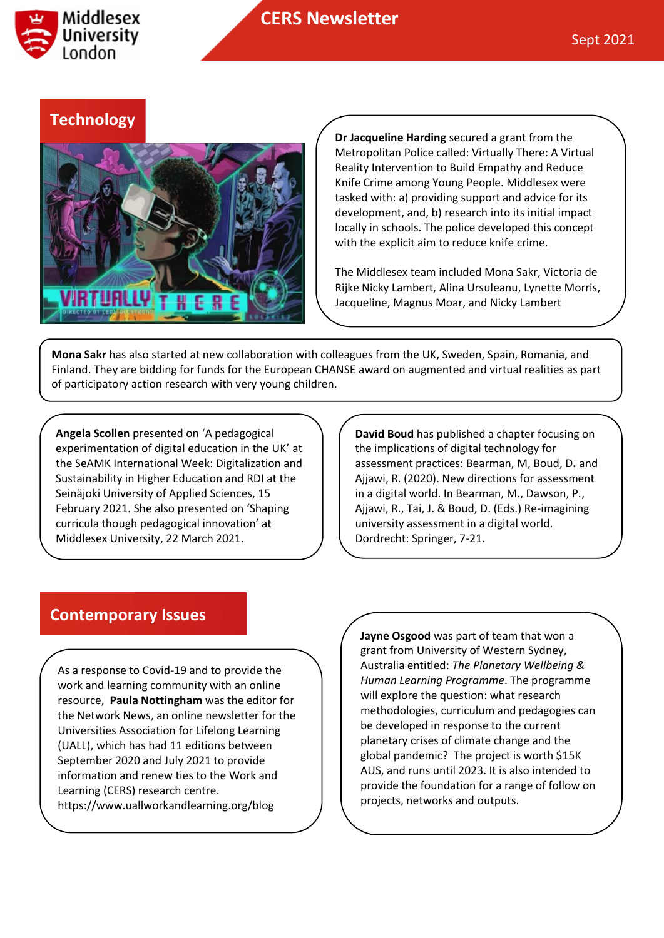

**Technology**



**Dr Jacqueline Harding** secured a grant from the Metropolitan Police called: Virtually There: A Virtual Reality Intervention to Build Empathy and Reduce Knife Crime among Young People. Middlesex were tasked with: a) providing support and advice for its development, and, b) research into its initial impact locally in schools. The police developed this concept with the explicit aim to reduce knife crime.

The Middlesex team included Mona Sakr, Victoria de Rijke Nicky Lambert, Alina Ursuleanu, Lynette Morris, Jacqueline, Magnus Moar, and Nicky Lambert

**Mona Sakr** has also started at new collaboration with colleagues from the UK, Sweden, Spain, Romania, and Finland. They are bidding for funds for the European CHANSE award on augmented and virtual realities as part of participatory action research with very young children.

**Angela Scollen** presented on 'A pedagogical experimentation of digital education in the UK' at the SeAMK International Week: Digitalization and Sustainability in Higher Education and RDI at the Seinäjoki University of Applied Sciences, 15 February 2021. She also presented on 'Shaping curricula though pedagogical innovation' at Middlesex University, 22 March 2021.

**David Boud** has published a chapter focusing on the implications of digital technology for assessment practices: Bearman, M, Boud, D**.** and Ajjawi, R. (2020). New directions for assessment in a digital world. In Bearman, M., Dawson, P., Ajjawi, R., Tai, J. & Boud, D. (Eds.) Re-imagining university assessment in a digital world. Dordrecht: Springer, 7-21.

#### **Contemporary Issues Contemporary Issues**

As a response to Covid-19 and to provide the work and learning community with an online resource, **Paula Nottingham** was the editor for the Network News, an online newsletter for the Universities Association for Lifelong Learning (UALL), which has had 11 editions between September 2020 and July 2021 to provide information and renew ties to the Work and Learning (CERS) research centre. https://www.uallworkandlearning.org/blog

**Jayne Osgood** was part of team that won a grant from University of Western Sydney, Australia entitled: *The Planetary Wellbeing & Human Learning Programme*. The programme will explore the question: what research methodologies, curriculum and pedagogies can be developed in response to the current planetary crises of climate change and the global pandemic? The project is worth \$15K AUS, and runs until 2023. It is also intended to provide the foundation for a range of follow on projects, networks and outputs.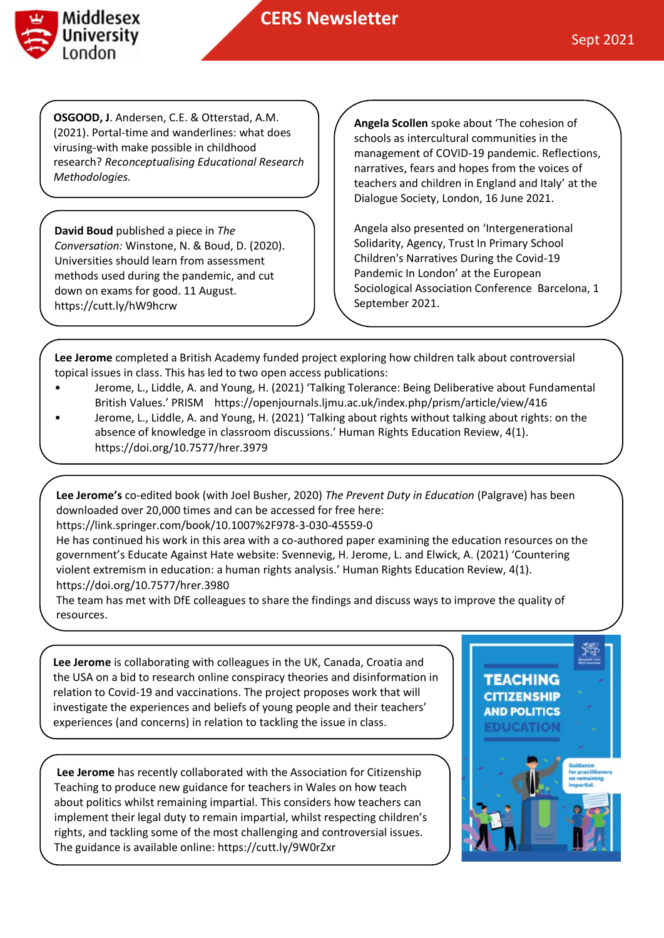

**OSGOOD, J**. Andersen, C.E. & Otterstad, A.M. (2021). Portal-time and wanderlines: what does virusing-with make possible in childhood research? *Reconceptualising Educational Research Methodologies.*

**David Boud** published a piece in *The Conversation:* Winstone, N. & Boud, D. (2020). Universities should learn from assessment methods used during the pandemic, and cut down on exams for good. 11 August. https://cutt.ly/hW9hcrw

**Angela Scollen** spoke about 'The cohesion of schools as intercultural communities in the management of COVID-19 pandemic. Reflections, narratives, fears and hopes from the voices of teachers and children in England and Italy' at the Dialogue Society, London, 16 June 2021.

Angela also presented on 'Intergenerational Solidarity, Agency, Trust In Primary School Children's Narratives During the Covid-19 Pandemic In London' at the European Sociological Association Conference Barcelona, 1 September 2021.

**Lee Jerome** completed a British Academy funded project exploring how children talk about controversial topical issues in class. This has led to two open access publications:

- Jerome, L., Liddle, A. and Young, H. (2021) 'Talking Tolerance: Being Deliberative about Fundamental British Values.' PRISM https://openjournals.ljmu.ac.uk/index.php/prism/article/view/416
- Jerome, L., Liddle, A. and Young, H. (2021) 'Talking about rights without talking about rights: on the absence of knowledge in classroom discussions.' Human Rights Education Review, 4(1). https://doi.org/10.7577/hrer.3979

**Lee Jerome's** co-edited book (with Joel Busher, 2020) *The Prevent Duty in Education* (Palgrave) has been downloaded over 20,000 times and can be accessed for free here:

https://link.springer.com/book/10.1007%2F978-3-030-45559-0

He has continued his work in this area with a co-authored paper examining the education resources on the government's Educate Against Hate website: Svennevig, H. Jerome, L. and Elwick, A. (2021) 'Countering violent extremism in education: a human rights analysis.' Human Rights Education Review, 4(1). https://doi.org/10.7577/hrer.3980

The team has met with DfE colleagues to share the findings and discuss ways to improve the quality of resources.

**Lee Jerome** is collaborating with colleagues in the UK, Canada, Croatia and the USA on a bid to research online conspiracy theories and disinformation in relation to Covid-19 and vaccinations. The project proposes work that will investigate the experiences and beliefs of young people and their teachers' experiences (and concerns) in relation to tackling the issue in class.

**Lee Jerome** has recently collaborated with the Association for Citizenship Teaching to produce new guidance for teachers in Wales on how teach about politics whilst remaining impartial. This considers how teachers can implement their legal duty to remain impartial, whilst respecting children's rights, and tackling some of the most challenging and controversial issues. The guidance is available online: https://cutt.ly/9W0rZxr

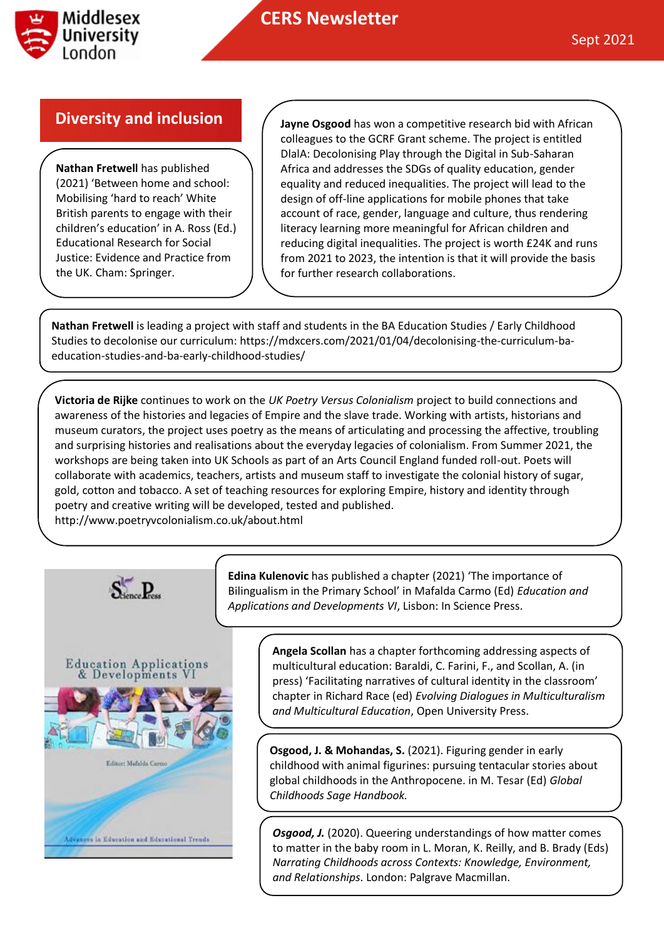

### **Diversity and inclusion**

**Nathan Fretwell** has published (2021) 'Between home and school: Mobilising 'hard to reach' White British parents to engage with their children's education' in A. Ross (Ed.) Educational Research for Social Justice: Evidence and Practice from the UK. Cham: Springer.

**Jayne Osgood** has won a competitive research bid with African colleagues to the GCRF Grant scheme. The project is entitled DlalA: Decolonising Play through the Digital in Sub-Saharan Africa and addresses the SDGs of quality education, gender equality and reduced inequalities. The project will lead to the design of off-line applications for mobile phones that take account of race, gender, language and culture, thus rendering literacy learning more meaningful for African children and reducing digital inequalities. The project is worth £24K and runs from 2021 to 2023, the intention is that it will provide the basis for further research collaborations.

**Nathan Fretwell** is leading a project with staff and students in the BA Education Studies / Early Childhood Studies to decolonise our curriculum: https://mdxcers.com/2021/01/04/decolonising-the-curriculum-baeducation-studies-and-ba-early-childhood-studies/

**Victoria de Rijke** continues to work on the *UK Poetry Versus Colonialism* project to build connections and awareness of the histories and legacies of Empire and the slave trade. Working with artists, historians and museum curators, the project uses poetry as the means of articulating and processing the affective, troubling and surprising histories and realisations about the everyday legacies of colonialism. From Summer 2021, the workshops are being taken into UK Schools as part of an Arts Council England funded roll-out. Poets will collaborate with academics, teachers, artists and museum staff to investigate the colonial history of sugar, gold, cotton and tobacco. A set of teaching resources for exploring Empire, history and identity through poetry and creative writing will be developed, tested and published. http://www.poetryvcolonialism.co.uk/about.html





**Edina Kulenovic** has published a chapter (2021) 'The importance of Bilingualism in the Primary School' in Mafalda Carmo (Ed) *Education and Applications and Developments VI*, Lisbon: In Science Press.

> **Angela Scollan** has a chapter forthcoming addressing aspects of multicultural education: Baraldi, C. Farini, F., and Scollan, A. (in press) 'Facilitating narratives of cultural identity in the classroom' chapter in Richard Race (ed) *Evolving Dialogues in Multiculturalism and Multicultural Education*, Open University Press.

**Osgood, J. & Mohandas, S.** (2021). Figuring gender in early childhood with animal figurines: pursuing tentacular stories about global childhoods in the Anthropocene. in M. Tesar (Ed) *Global Childhoods Sage Handbook.*

**Osgood, J.** (2020). Queering understandings of how matter comes to matter in the baby room in L. Moran, K. Reilly, and B. Brady (Eds) *Narrating Childhoods across Contexts: Knowledge, Environment, and Relationships*. London: Palgrave Macmillan.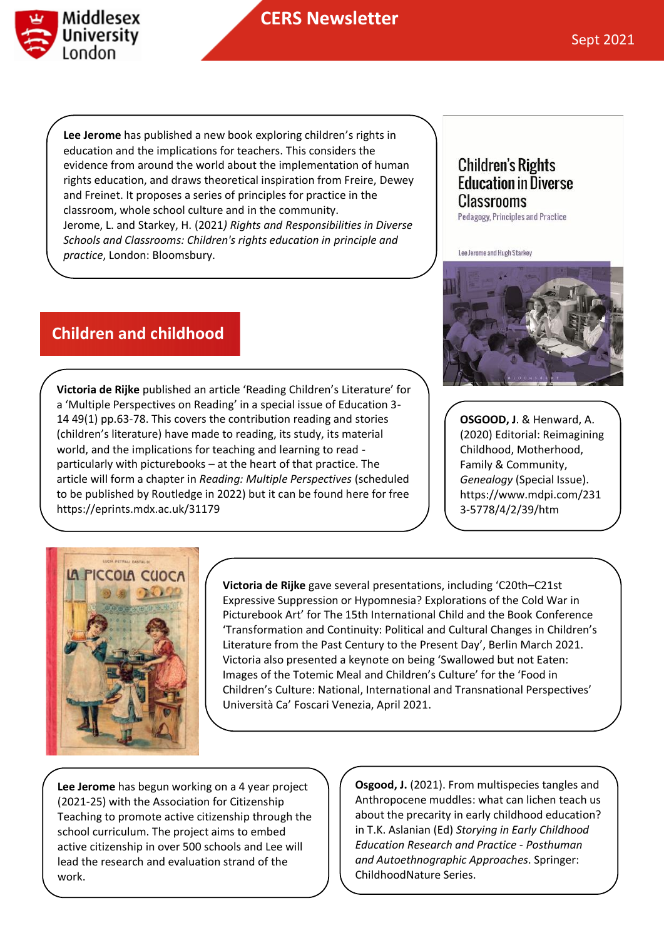

**Lee Jerome** has published a new book exploring children's rights in education and the implications for teachers. This considers the evidence from around the world about the implementation of human rights education, and draws theoretical inspiration from Freire, Dewey and Freinet. It proposes a series of principles for practice in the classroom, whole school culture and in the community. Jerome, L. and Starkey, H. (2021*) Rights and Responsibilities in Diverse Schools and Classrooms: Children's rights education in principle and practice*, London: Bloomsbury.

## **Children and childhood**

**Victoria de Rijke** published an article 'Reading Children's Literature' for a 'Multiple Perspectives on Reading' in a special issue of Education 3- 14 49(1) pp.63-78. This covers the contribution reading and stories (children's literature) have made to reading, its study, its material world, and the implications for teaching and learning to read particularly with picturebooks – at the heart of that practice. The article will form a chapter in *Reading: Multiple Perspectives* (scheduled to be published by Routledge in 2022) but it can be found here for free https://eprints.mdx.ac.uk/31179

#### **Children's Rights Education in Diverse Classrooms** Pedagogy, Principles and Practice

Lee Jerome and Hugh Starkey



**OSGOOD, J**. & Henward, A. (2020) Editorial: Reimagining Childhood, Motherhood, Family & Community, *Genealogy* (Special Issue). https://www.mdpi.com/231 3-5778/4/2/39/htm



**Victoria de Rijke** gave several presentations, including 'C20th–C21st Expressive Suppression or Hypomnesia? Explorations of the Cold War in Picturebook Art' for The 15th International Child and the Book Conference 'Transformation and Continuity: Political and Cultural Changes in Children's Literature from the Past Century to the Present Day', Berlin March 2021. Victoria also presented a keynote on being 'Swallowed but not Eaten: Images of the Totemic Meal and Children's Culture' for the 'Food in Children's Culture: National, International and Transnational Perspectives' Università Ca' Foscari Venezia, April 2021.

**Lee Jerome** has begun working on a 4 year project (2021-25) with the Association for Citizenship Teaching to promote active citizenship through the school curriculum. The project aims to embed active citizenship in over 500 schools and Lee will lead the research and evaluation strand of the work.

**Osgood, J.** (2021). From multispecies tangles and Anthropocene muddles: what can lichen teach us about the precarity in early childhood education? in T.K. Aslanian (Ed) *Storying in Early Childhood Education Research and Practice - Posthuman and Autoethnographic Approaches*. Springer: ChildhoodNature Series.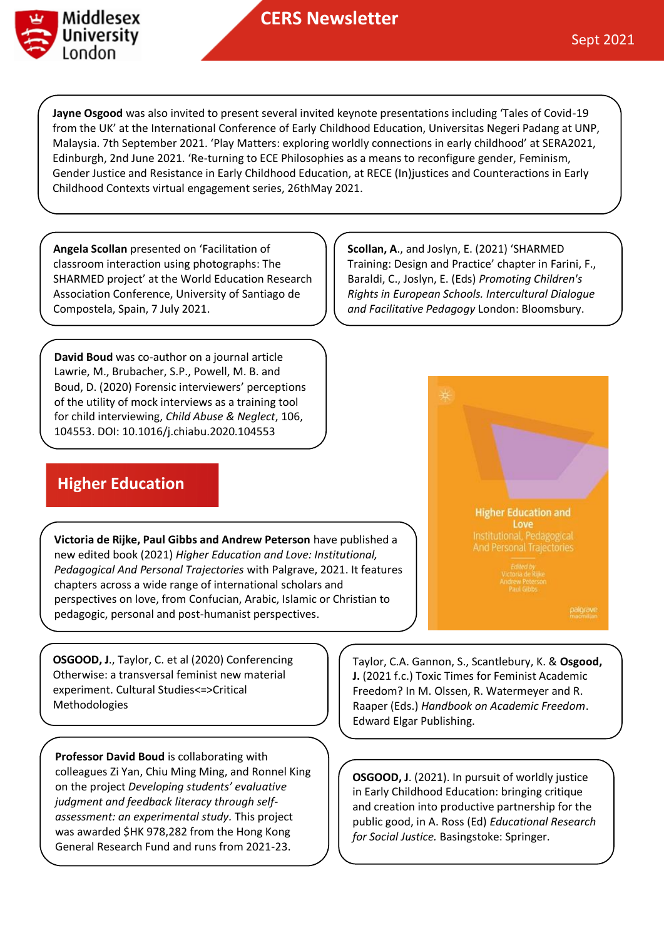

**Jayne Osgood** was also invited to present several invited keynote presentations including 'Tales of Covid-19 from the UK' at the International Conference of Early Childhood Education, Universitas Negeri Padang at UNP, Malaysia. 7th September 2021. 'Play Matters: exploring worldly connections in early childhood' at SERA2021, Edinburgh, 2nd June 2021. 'Re-turning to ECE Philosophies as a means to reconfigure gender, Feminism, Gender Justice and Resistance in Early Childhood Education, at RECE (In)justices and Counteractions in Early Childhood Contexts virtual engagement series, 26thMay 2021.

**Angela Scollan** presented on 'Facilitation of classroom interaction using photographs: The SHARMED project' at the World Education Research Association Conference, University of Santiago de Compostela, Spain, 7 July 2021.

**David Boud** was co-author on a journal article Lawrie, M., Brubacher, S.P., Powell, M. B. and Boud, D. (2020) Forensic interviewers' perceptions of the utility of mock interviews as a training tool for child interviewing, *Child Abuse & Neglect*, 106, 104553. DOI: 10.1016/j.chiabu.2020.104553

## **Higher Education**

**Victoria de Rijke, Paul Gibbs and Andrew Peterson** have published a new edited book (2021) *Higher Education and Love: Institutional, Pedagogical And Personal Trajectories* with Palgrave, 2021. It features chapters across a wide range of international scholars and perspectives on love, from Confucian, Arabic, Islamic or Christian to pedagogic, personal and post-humanist perspectives.

**OSGOOD, J**., Taylor, C. et al (2020) Conferencing Otherwise: a transversal feminist new material experiment. Cultural Studies<=>Critical Methodologies

**Professor David Boud** is collaborating with colleagues Zi Yan, Chiu Ming Ming, and Ronnel King on the project *Developing students' evaluative judgment and feedback literacy through selfassessment: an experimental study.* This project was awarded \$HK 978,282 from the Hong Kong General Research Fund and runs from 2021-23.

**Scollan, A**., and Joslyn, E. (2021) 'SHARMED Training: Design and Practice' chapter in Farini, F., Baraldi, C., Joslyn, E. (Eds) *Promoting Children's Rights in European Schools. Intercultural Dialogue and Facilitative Pedagogy* London: Bloomsbury.



Taylor, C.A. Gannon, S., Scantlebury, K. & **Osgood, J.** (2021 f.c.) Toxic Times for Feminist Academic Freedom? In M. Olssen, R. Watermeyer and R. Raaper (Eds.) *Handbook on Academic Freedom*. Edward Elgar Publishing.

**OSGOOD, J**. (2021). In pursuit of worldly justice in Early Childhood Education: bringing critique and creation into productive partnership for the public good, in A. Ross (Ed) *Educational Research for Social Justice.* Basingstoke: Springer.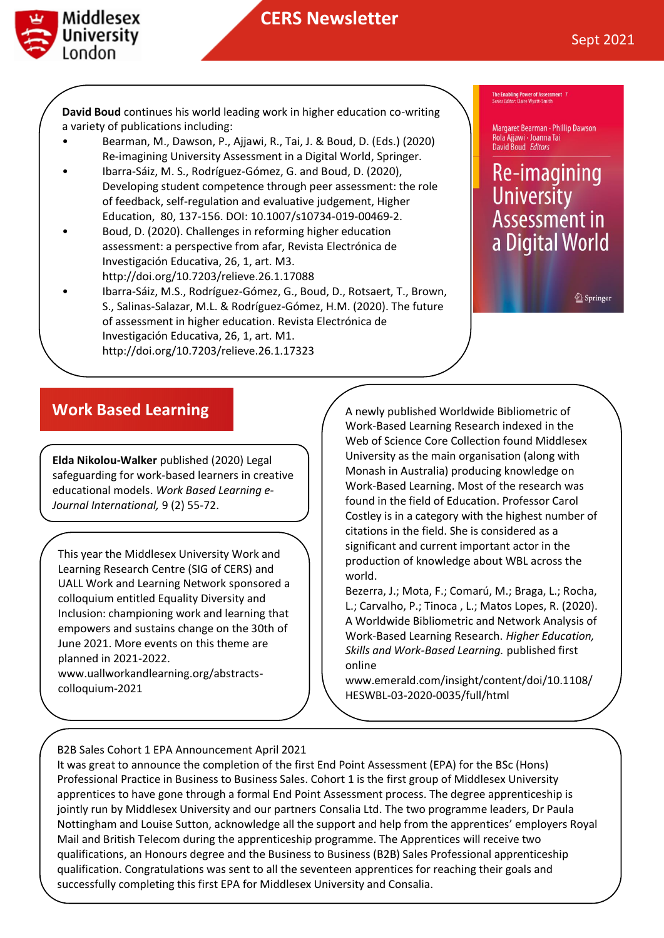

**David Boud** continues his world leading work in higher education co-writing a variety of publications including:

- Bearman, M., Dawson, P., Ajjawi, R., Tai, J. & Boud, D. (Eds.) (2020) Re-imagining University Assessment in a Digital World, Springer.
- Ibarra-Sáiz, M. S., Rodríguez-Gómez, G. and Boud, D. (2020), Developing student competence through peer assessment: the role of feedback, self-regulation and evaluative judgement, Higher Education, 80, 137-156. DOI: 10.1007/s10734-019-00469-2.
- Boud, D. (2020). Challenges in reforming higher education assessment: a perspective from afar, Revista Electrónica de Investigación Educativa, 26, 1, art. M3. http://doi.org/10.7203/relieve.26.1.17088
- Ibarra-Sáiz, M.S., Rodríguez-Gómez, G., Boud, D., Rotsaert, T., Brown, S., Salinas-Salazar, M.L. & Rodríguez-Gómez, H.M. (2020). The future of assessment in higher education. Revista Electrónica de Investigación Educativa, 26, 1, art. M1. http://doi.org/10.7203/relieve.26.1.17323

The Enabling Power of Assessment 7<br>Series Editor: Claire Wyatt-Smith

Margaret Bearman - Phillip Dawson Rola Ajjawi · Joanna Tai David Boud Editors

# Re-imagining<br>University Assessment in a Digital World

**◯** Springer

## **Work Based Learning**

**Elda Nikolou-Walker** published (2020) Legal safeguarding for work-based learners in creative educational models. *Work Based Learning e-Journal International,* 9 (2) 55-72.

This year the Middlesex University Work and Learning Research Centre (SIG of CERS) and UALL Work and Learning Network sponsored a colloquium entitled Equality Diversity and Inclusion: championing work and learning that empowers and sustains change on the 30th of June 2021. More events on this theme are planned in 2021-2022.

www.uallworkandlearning.org/abstractscolloquium-2021

A newly published Worldwide Bibliometric of Work-Based Learning Research indexed in the Web of Science Core Collection found Middlesex University as the main organisation (along with Monash in Australia) producing knowledge on Work-Based Learning. Most of the research was found in the field of Education. Professor Carol Costley is in a category with the highest number of citations in the field. She is considered as a significant and current important actor in the production of knowledge about WBL across the world.

Bezerra, J.; Mota, F.; Comarú, M.; Braga, L.; Rocha, L.; Carvalho, P.; Tinoca , L.; Matos Lopes, R. (2020). A Worldwide Bibliometric and Network Analysis of Work-Based Learning Research. *Higher Education, Skills and Work-Based Learning.* published first online

www.emerald.com/insight/content/doi/10.1108/ HESWBL-03-2020-0035/full/html

#### B2B Sales Cohort 1 EPA Announcement April 2021

It was great to announce the completion of the first End Point Assessment (EPA) for the BSc (Hons) Professional Practice in Business to Business Sales. Cohort 1 is the first group of Middlesex University apprentices to have gone through a formal End Point Assessment process. The degree apprenticeship is jointly run by Middlesex University and our partners Consalia Ltd. The two programme leaders, Dr Paula Nottingham and Louise Sutton, acknowledge all the support and help from the apprentices' employers Royal Mail and British Telecom during the apprenticeship programme. The Apprentices will receive two qualifications, an Honours degree and the Business to Business (B2B) Sales Professional apprenticeship qualification. Congratulations was sent to all the seventeen apprentices for reaching their goals and successfully completing this first EPA for Middlesex University and Consalia.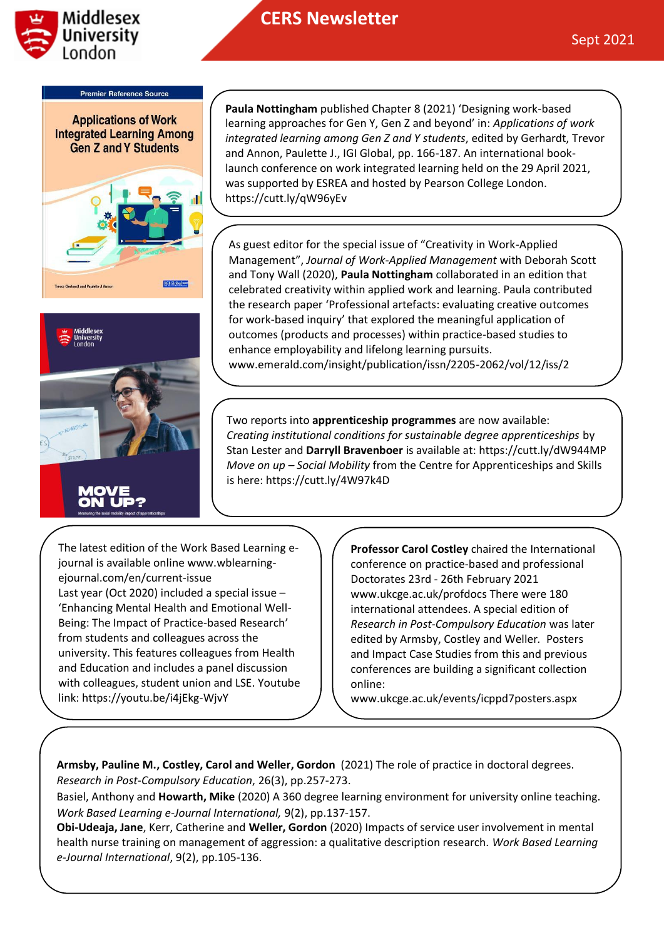

# **CERS Newsletter**

**Premier Reference Source** 



**Paula Nottingham** published Chapter 8 (2021) 'Designing work-based learning approaches for Gen Y, Gen Z and beyond' in: *Applications of work integrated learning among Gen Z and Y students*, edited by Gerhardt, Trevor and Annon, Paulette J., IGI Global, pp. 166-187. An international booklaunch conference on work integrated learning held on the 29 April 2021, was supported by ESREA and hosted by Pearson College London. https://cutt.ly/qW96yEv

As guest editor for the special issue of "Creativity in Work-Applied Management", *Journal of Work-Applied Management* with Deborah Scott and Tony Wall (2020), **Paula Nottingham** collaborated in an edition that celebrated creativity within applied work and learning. Paula contributed the research paper 'Professional artefacts: evaluating creative outcomes for work-based inquiry' that explored the meaningful application of outcomes (products and processes) within practice-based studies to enhance employability and lifelong learning pursuits. www.emerald.com/insight/publication/issn/2205-2062/vol/12/iss/2

Two reports into **apprenticeship programmes** are now available: *Creating institutional conditions for sustainable degree apprenticeships* by Stan Lester and **Darryll Bravenboer** is available at: https://cutt.ly/dW944MP *Move on up – Social Mobility* from the Centre for Apprenticeships and Skills is here: https://cutt.ly/4W97k4D

The latest edition of the Work Based Learning ejournal is available online www.wblearningejournal.com/en/current-issue Last year (Oct 2020) included a special issue – 'Enhancing Mental Health and Emotional Well-Being: The Impact of Practice-based Research' from students and colleagues across the university. This features colleagues from Health and Education and includes a panel discussion with colleagues, student union and LSE. Youtube link: https://youtu.be/i4jEkg-WjvY

**Professor Carol Costley** chaired the International conference on practice-based and professional Doctorates 23rd - 26th February 2021 www.ukcge.ac.uk/profdocs There were 180 international attendees. A special edition of *Research in Post-Compulsory Education* [was later](https://eprints.mdx.ac.uk/view/creators/Costley=3ACarol=3A=3A.html)  [edited by Armsby, Costley](https://eprints.mdx.ac.uk/view/creators/Costley=3ACarol=3A=3A.html) and [Weller](https://eprints.mdx.ac.uk/view/creators/Weller=3AGordon=3A=3A.html)*.* Posters and Impact Case Studies from this and previous conferences are building a significant collection online:

www.ukcge.ac.uk/events/icppd7posters.aspx

**[Armsby, Pauline M.,](https://eprints.mdx.ac.uk/view/creators/Armsby=3APauline_M=2E=3A=3A.html) [Costley, Carol](https://eprints.mdx.ac.uk/view/creators/Costley=3ACarol=3A=3A.html) and [Weller, Gordon](https://eprints.mdx.ac.uk/view/creators/Weller=3AGordon=3A=3A.html)** (2021) The role of practice in doctoral degrees. *Research in Post-Compulsory Education*, 26(3), pp.257-273.

Basiel, Anthony and **Howarth, Mike** (2020) A 360 degree learning environment for university online teaching. *Work Based Learning e-Journal International,* 9(2), pp.137-157.

**Obi-Udeaja, Jane**, Kerr, Catherine and **Weller, Gordon** (2020) Impacts of service user involvement in mental health nurse training on management of aggression: a qualitative description research. *Work Based Learning e-Journal International*, 9(2), pp.105-136.